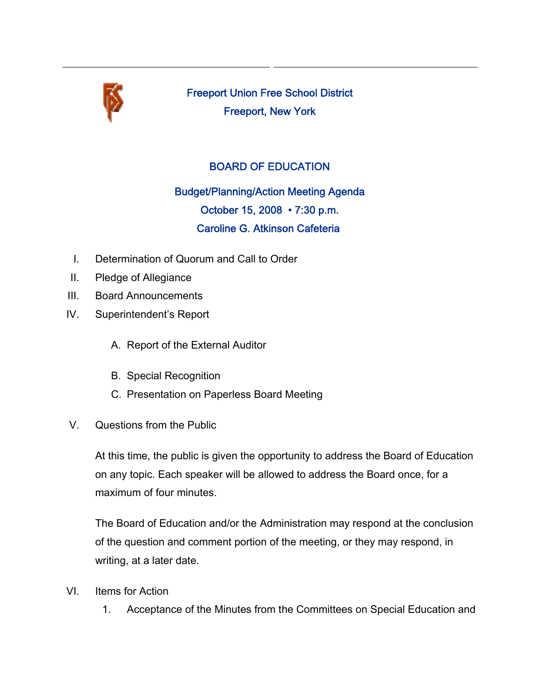

Freeport Union Free School District Freeport, New York

## BOARD OF EDUCATION

Budget/Planning/Action Meeting Agenda October 15, 2008 • 7:30 p.m. Caroline G. Atkinson Cafeteria

- I. Determination of Quorum and Call to Order
- II. Pledge of Allegiance
- III. Board Announcements
- IV. Superintendent's Report
	- A. Report of the External Auditor
	- B. Special Recognition
	- C. Presentation on Paperless Board Meeting
- V. Questions from the Public

At this time, the public is given the opportunity to address the Board of Education on any topic. Each speaker will be allowed to address the Board once, for a maximum of four minutes.

The Board of Education and/or the Administration may respond at the conclusion of the question and comment portion of the meeting, or they may respond, in writing, at a later date.

- VI. Items for Action
	- 1. Acceptance of the Minutes from the Committees on Special Education and